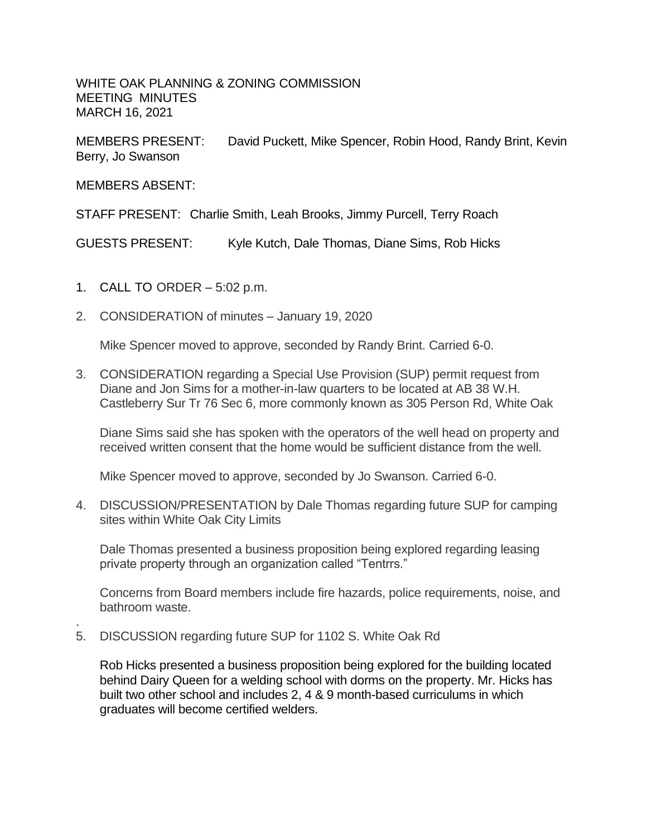WHITE OAK PLANNING & ZONING COMMISSION MEETING MINUTES MARCH 16, 2021

MEMBERS PRESENT: David Puckett, Mike Spencer, Robin Hood, Randy Brint, Kevin Berry, Jo Swanson

MEMBERS ABSENT:

.

STAFF PRESENT: Charlie Smith, Leah Brooks, Jimmy Purcell, Terry Roach

GUESTS PRESENT: Kyle Kutch, Dale Thomas, Diane Sims, Rob Hicks

- 1. CALL TO ORDER 5:02 p.m.
- 2. CONSIDERATION of minutes January 19, 2020

Mike Spencer moved to approve, seconded by Randy Brint. Carried 6-0.

3. CONSIDERATION regarding a Special Use Provision (SUP) permit request from Diane and Jon Sims for a mother-in-law quarters to be located at AB 38 W.H. Castleberry Sur Tr 76 Sec 6, more commonly known as 305 Person Rd, White Oak

Diane Sims said she has spoken with the operators of the well head on property and received written consent that the home would be sufficient distance from the well.

Mike Spencer moved to approve, seconded by Jo Swanson. Carried 6-0.

4. DISCUSSION/PRESENTATION by Dale Thomas regarding future SUP for camping sites within White Oak City Limits

Dale Thomas presented a business proposition being explored regarding leasing private property through an organization called "Tentrrs."

Concerns from Board members include fire hazards, police requirements, noise, and bathroom waste.

5. DISCUSSION regarding future SUP for 1102 S. White Oak Rd

Rob Hicks presented a business proposition being explored for the building located behind Dairy Queen for a welding school with dorms on the property. Mr. Hicks has built two other school and includes 2, 4 & 9 month-based curriculums in which graduates will become certified welders.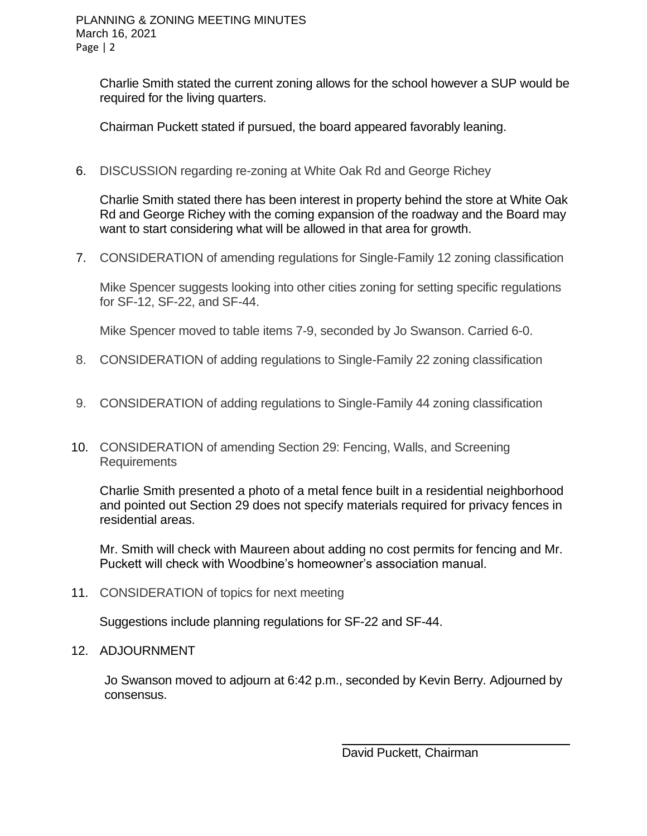Charlie Smith stated the current zoning allows for the school however a SUP would be required for the living quarters.

Chairman Puckett stated if pursued, the board appeared favorably leaning.

6. DISCUSSION regarding re-zoning at White Oak Rd and George Richey

Charlie Smith stated there has been interest in property behind the store at White Oak Rd and George Richey with the coming expansion of the roadway and the Board may want to start considering what will be allowed in that area for growth.

7. CONSIDERATION of amending regulations for Single-Family 12 zoning classification

Mike Spencer suggests looking into other cities zoning for setting specific regulations for SF-12, SF-22, and SF-44.

Mike Spencer moved to table items 7-9, seconded by Jo Swanson. Carried 6-0.

- 8. CONSIDERATION of adding regulations to Single-Family 22 zoning classification
- 9. CONSIDERATION of adding regulations to Single-Family 44 zoning classification
- 10. CONSIDERATION of amending Section 29: Fencing, Walls, and Screening Requirements

Charlie Smith presented a photo of a metal fence built in a residential neighborhood and pointed out Section 29 does not specify materials required for privacy fences in residential areas.

Mr. Smith will check with Maureen about adding no cost permits for fencing and Mr. Puckett will check with Woodbine's homeowner's association manual.

11. CONSIDERATION of topics for next meeting

Suggestions include planning regulations for SF-22 and SF-44.

12. ADJOURNMENT

Jo Swanson moved to adjourn at 6:42 p.m., seconded by Kevin Berry. Adjourned by consensus.